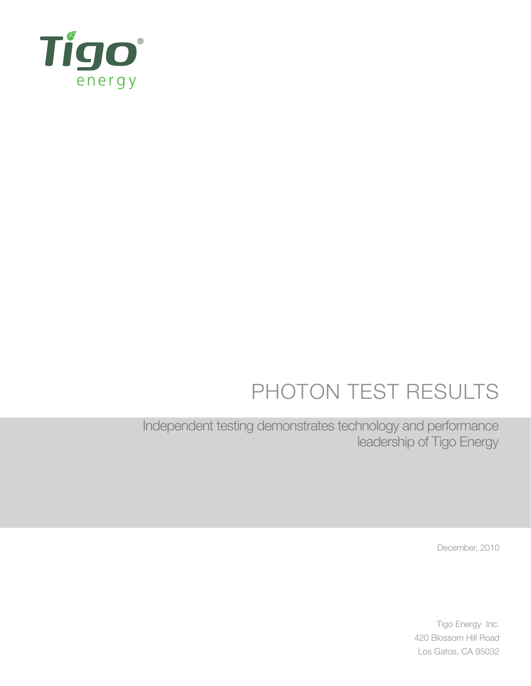

# PHOTON TEST RESULTS

Independent testing demonstrates technology and performance leadership of Tigo Energy

December, 2010

Tigo Energy Inc. 420 Blossom Hill Road Los Gatos, CA 95032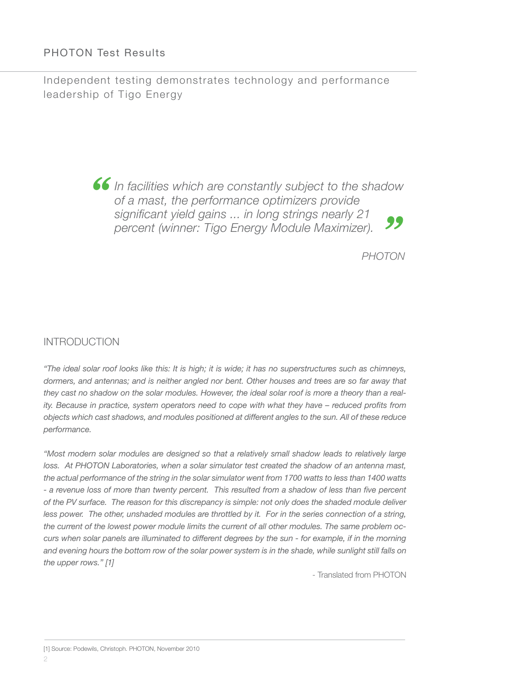## PHOTON Test Results

Independent testing demonstrates technology and performance leadership of Tigo Energy

> **66** In facilities which are constantly subject to the shadow of a mast, the performance optimizers provide significant yield gains ... in long strings nearly 21 *of a mast, the performance optimizers provide significant yield gains ... in long strings nearly 21 percent (winner: Tigo Energy Module Maximizer). PHOTON*

### INTRODUCTION

*"The ideal solar roof looks like this: It is high; it is wide; it has no superstructures such as chimneys, dormers, and antennas; and is neither angled nor bent. Other houses and trees are so far away that they cast no shadow on the solar modules. However, the ideal solar roof is more a theory than a reality. Because in practice, system operators need to cope with what they have – reduced profits from objects which cast shadows, and modules positioned at different angles to the sun. All of these reduce performance.*

*"Most modern solar modules are designed so that a relatively small shadow leads to relatively large*  loss. At PHOTON Laboratories, when a solar simulator test created the shadow of an antenna mast, *the actual performance of the string in the solar simulator went from 1700 watts to less than 1400 watts - a revenue loss of more than twenty percent. This resulted from a shadow of less than five percent of the PV surface. The reason for this discrepancy is simple: not only does the shaded module deliver*  less power. The other, unshaded modules are throttled by it. For in the series connection of a string, *the current of the lowest power module limits the current of all other modules. The same problem occurs when solar panels are illuminated to different degrees by the sun - for example, if in the morning and evening hours the bottom row of the solar power system is in the shade, while sunlight still falls on the upper rows." [1]*

- Translated from PHOTON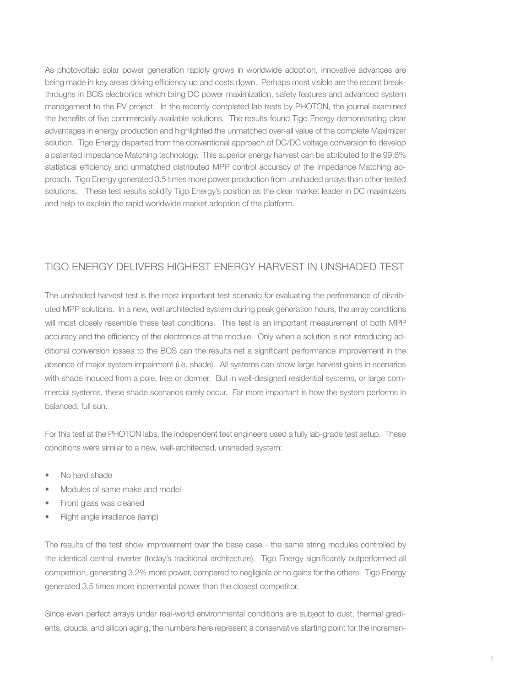As photovoltaic solar power generation rapidly grows in worldwide adoption, innovative advances are being made in key areas driving efficiency up and costs down. Perhaps most visible are the recent breakthroughs in BOS electronics which bring DC power maximization, safety features and advanced system management to the PV project. In the recently completed lab tests by PHOTON, the journal examined the benefits of five commercially available solutions. The results found Tigo Energy demonstrating clear advantages in energy production and highlighted the unmatched over-all value of the complete Maximizer solution. Tigo Energy departed from the conventional approach of DC/DC voltage conversion to develop a patented Impedance Matching technology. This superior energy harvest can be attributed to the 99.6% statistical efficiency and unmatched distributed MPP control accuracy of the Impedance Matching approach. Tigo Energy generated 3.5 times more power production from unshaded arrays than other tested solutions. These test results solidify Tigo Energy's position as the clear market leader in DC maximizers and help to explain the rapid worldwide market adoption of the platform.

## Tigo Energy Delivers Highest Energy Harvest in Unshaded Test

The unshaded harvest test is the most important test scenario for evaluating the performance of distributed MPP solutions. In a new, well architected system during peak generation hours, the array conditions will most closely resemble these test conditions. This test is an important measurement of both MPP accuracy and the efficiency of the electronics at the module. Only when a solution is not introducing additional conversion losses to the BOS can the results net a significant performance improvement in the absence of major system impairment (i.e. shade). All systems can show large harvest gains in scenarios with shade induced from a pole, tree or dormer. But in well-designed residential systems, or large commercial systems, these shade scenarios rarely occur. Far more important is how the system performs in balanced, full sun.

For this test at the PHOTON labs, the independent test engineers used a fully lab-grade test setup. These conditions were similar to a new, well-architected, unshaded system:

- No hard shade
- Modules of same make and model
- Front glass was cleaned
- Right angle irradiance (lamp)

The results of the test show improvement over the base case - the same string modules controlled by the identical central inverter (today's traditional architecture). Tigo Energy significantly outperformed all competition, generating 3.2% more power, compared to negligible or no gains for the others. Tigo Energy generated 3.5 times more incremental power than the closest competitor.

Since even perfect arrays under real-world environmental conditions are subject to dust, thermal gradients, clouds, and silicon aging, the numbers here represent a conservative starting point for the incremen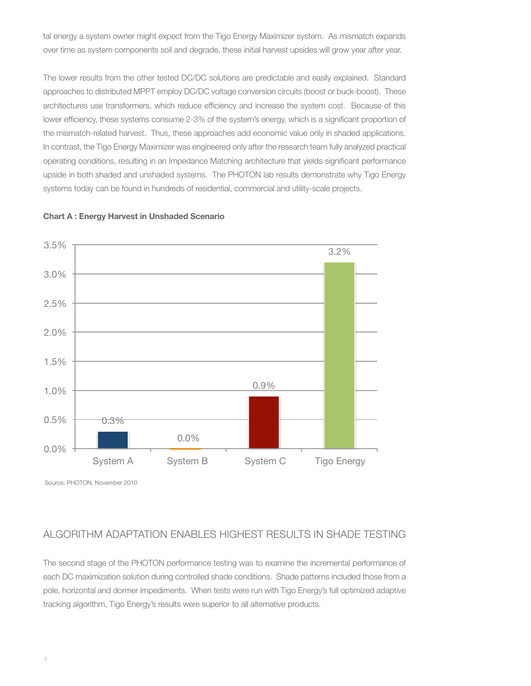tal energy a system owner might expect from the Tigo Energy Maximizer system. As mismatch expands over time as system components soil and degrade, these initial harvest upsides will grow year after year.

The lower results from the other tested DC/DC solutions are predictable and easily explained. Standard approaches to distributed MPPT employ DC/DC voltage conversion circuits (boost or buck-boost). These architectures use transformers, which reduce efficiency and increase the system cost. Because of this lower efficiency, these systems consume 2-3% of the system's energy, which is a significant proportion of the mismatch-related harvest. Thus, these approaches add economic value only in shaded applications. In contrast, the Tigo Energy Maximizer was engineered only after the research team fully analyzed practical operating conditions, resulting in an Impedance Matching architecture that yields significant performance upside in both shaded and unshaded systems. The PHOTON lab results demonstrate why Tigo Energy systems today can be found in hundreds of residential, commercial and utility-scale projects.





Source: PHOTON, November 2010

# Algorithm Adaptation Enables Highest Results in Shade Testing

The second stage of the PHOTON performance testing was to examine the incremental performance of each DC maximization solution during controlled shade conditions. Shade patterns included those from a pole, horizontal and dormer impediments. When tests were run with Tigo Energy's full optimized adaptive tracking algorithm, Tigo Energy's results were superior to all alternative products.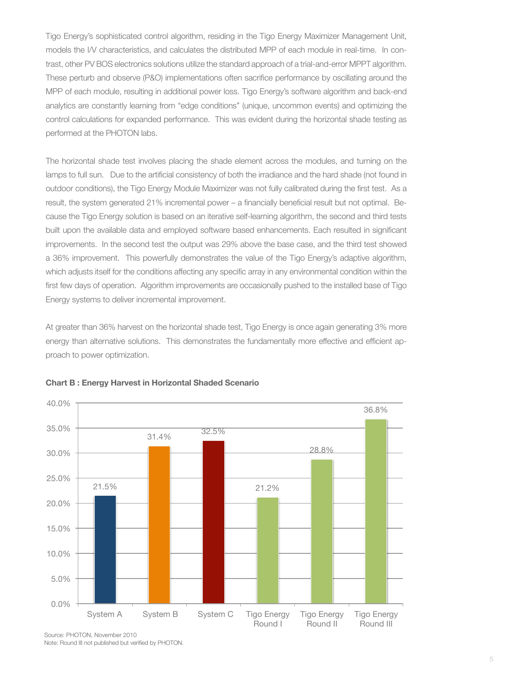Tigo Energy's sophisticated control algorithm, residing in the Tigo Energy Maximizer Management Unit, models the I/V characteristics, and calculates the distributed MPP of each module in real-time. In contrast, other PV BOS electronics solutions utilize the standard approach of a trial-and-error MPPT algorithm. These perturb and observe (P&O) implementations often sacrifice performance by oscillating around the MPP of each module, resulting in additional power loss. Tigo Energy's software algorithm and back-end analytics are constantly learning from "edge conditions" (unique, uncommon events) and optimizing the control calculations for expanded performance. This was evident during the horizontal shade testing as performed at the PHOTON labs.

The horizontal shade test involves placing the shade element across the modules, and turning on the lamps to full sun. Due to the artificial consistency of both the irradiance and the hard shade (not found in outdoor conditions), the Tigo Energy Module Maximizer was not fully calibrated during the first test. As a result, the system generated 21% incremental power – a financially beneficial result but not optimal. Because the Tigo Energy solution is based on an iterative self-learning algorithm, the second and third tests built upon the available data and employed software based enhancements. Each resulted in significant improvements. In the second test the output was 29% above the base case, and the third test showed a 36% improvement. This powerfully demonstrates the value of the Tigo Energy's adaptive algorithm, which adjusts itself for the conditions affecting any specific array in any environmental condition within the first few days of operation. Algorithm improvements are occasionally pushed to the installed base of Tigo Energy systems to deliver incremental improvement.

At greater than 36% harvest on the horizontal shade test, Tigo Energy is once again generating 3% more energy than alternative solutions. This demonstrates the fundamentally more effective and efficient approach to power optimization.



#### **Chart B : Energy Harvest in Horizontal Shaded Scenario**

Source: PHOTON, November 2010 Note: Round III not published but verified by PHOTON.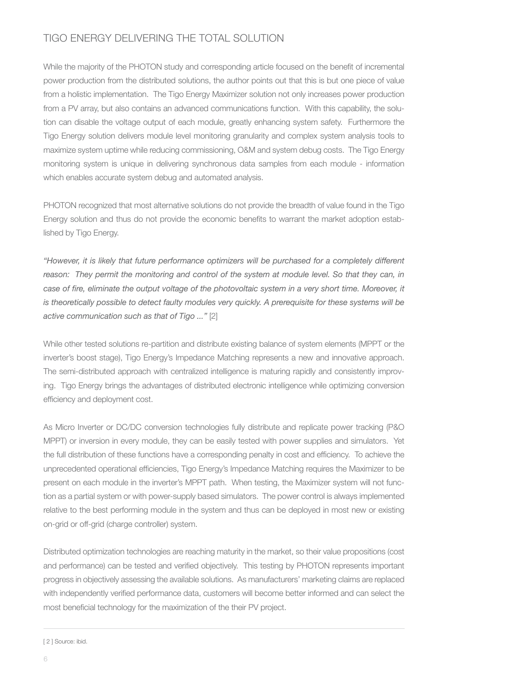# Tigo Energy Delivering the Total Solution

While the majority of the PHOTON study and corresponding article focused on the benefit of incremental power production from the distributed solutions, the author points out that this is but one piece of value from a holistic implementation. The Tigo Energy Maximizer solution not only increases power production from a PV array, but also contains an advanced communications function. With this capability, the solution can disable the voltage output of each module, greatly enhancing system safety. Furthermore the Tigo Energy solution delivers module level monitoring granularity and complex system analysis tools to maximize system uptime while reducing commissioning, O&M and system debug costs. The Tigo Energy monitoring system is unique in delivering synchronous data samples from each module - information which enables accurate system debug and automated analysis.

PHOTON recognized that most alternative solutions do not provide the breadth of value found in the Tigo Energy solution and thus do not provide the economic benefits to warrant the market adoption established by Tigo Energy.

*"However, it is likely that future performance optimizers will be purchased for a completely different reason: They permit the monitoring and control of the system at module level. So that they can, in case of fire, eliminate the output voltage of the photovoltaic system in a very short time. Moreover, it is theoretically possible to detect faulty modules very quickly. A prerequisite for these systems will be active communication such as that of Tigo ..."* [2]

While other tested solutions re-partition and distribute existing balance of system elements (MPPT or the inverter's boost stage), Tigo Energy's Impedance Matching represents a new and innovative approach. The semi-distributed approach with centralized intelligence is maturing rapidly and consistently improving. Tigo Energy brings the advantages of distributed electronic intelligence while optimizing conversion efficiency and deployment cost.

As Micro Inverter or DC/DC conversion technologies fully distribute and replicate power tracking (P&O MPPT) or inversion in every module, they can be easily tested with power supplies and simulators. Yet the full distribution of these functions have a corresponding penalty in cost and efficiency. To achieve the unprecedented operational efficiencies, Tigo Energy's Impedance Matching requires the Maximizer to be present on each module in the inverter's MPPT path. When testing, the Maximizer system will not function as a partial system or with power-supply based simulators. The power control is always implemented relative to the best performing module in the system and thus can be deployed in most new or existing on-grid or off-grid (charge controller) system.

Distributed optimization technologies are reaching maturity in the market, so their value propositions (cost and performance) can be tested and verified objectively. This testing by PHOTON represents important progress in objectively assessing the available solutions. As manufacturers' marketing claims are replaced with independently verified performance data, customers will become better informed and can select the most beneficial technology for the maximization of the their PV project.

[ 2 ] Source: ibid.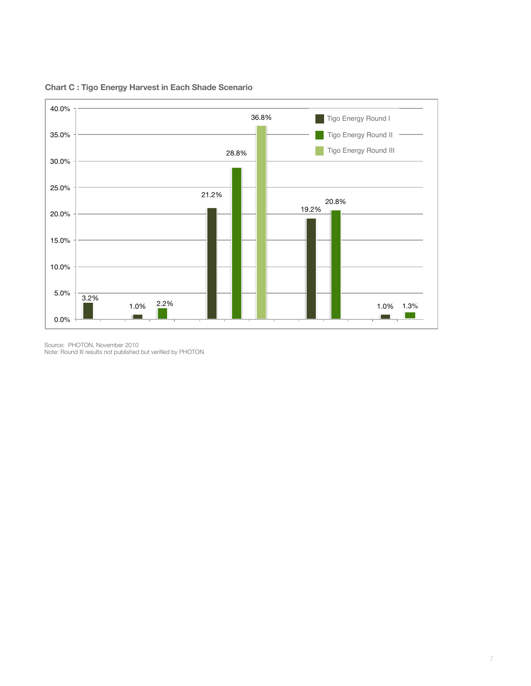

**Chart C : Tigo Energy Harvest in Each Shade Scenario**

Source: PHOTON, November 2010

Note: Round III results not published but verified by PHO